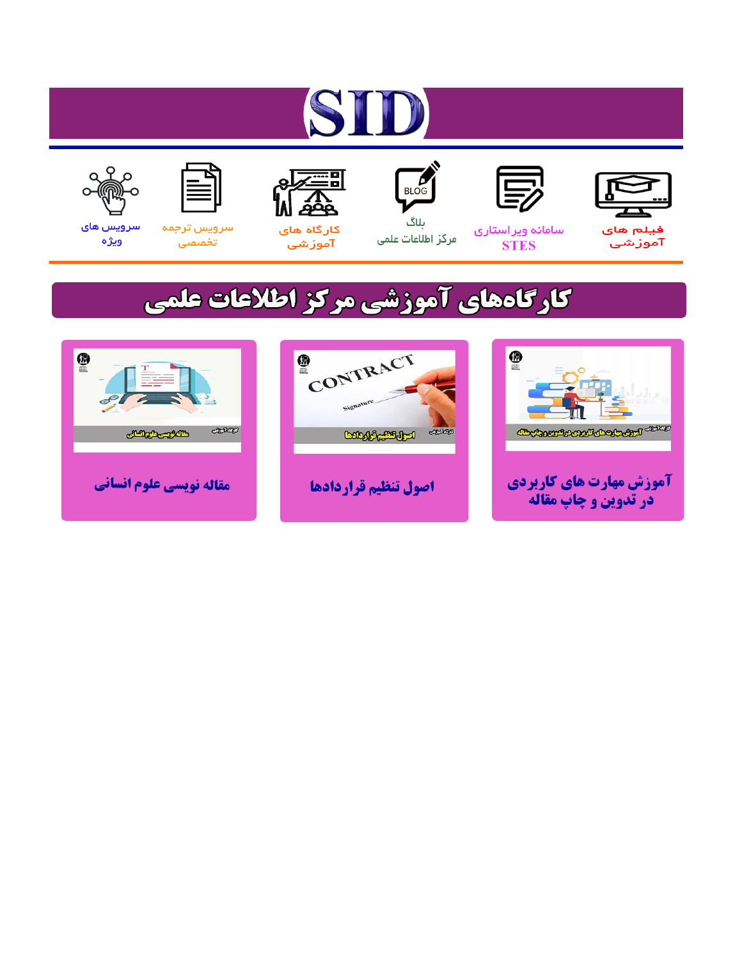# ST











مرکز اطلاعات علمی

 $\frac{1}{\sqrt{\frac{1}{100}}}$ ىلاگ



آموزشي

空

سرويس ترجمه تخصصى



سرویس های ويژه

## كارگاههای آموزشی مركز اطلاعات علمی





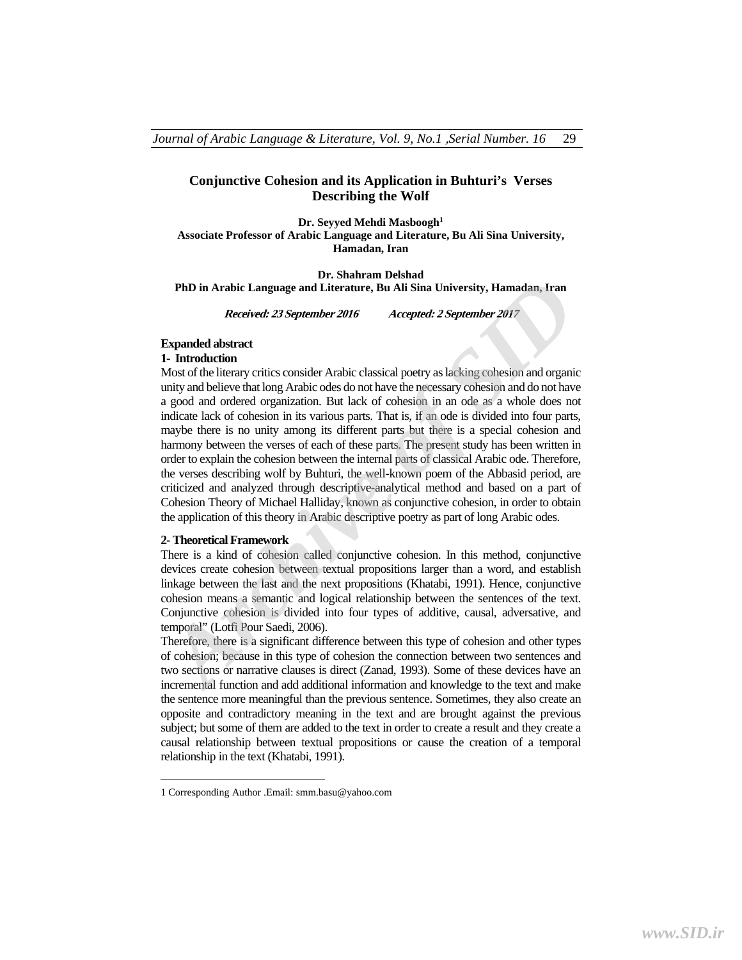### **Conjunctive Cohesion and its Application in Buhturi's Verses Describing the Wolf**

**Dr. Seyyed Mehdi Masboogh1 Associate Professor of Arabic Language and Literature, Bu Ali Sina University, Hamadan, Iran** 

**Dr. Shahram Delshad PhD in Arabic Language and Literature, Bu Ali Sina University, Hamadan, Iran** 

**Received: 23 September 2016 Accepted: 2 September 2017** 

#### **Expanded abstract**

#### **1- Introduction**

Most of the literary critics consider Arabic classical poetry as lacking cohesion and organic unity and believe that long Arabic odes do not have the necessary cohesion and do not have a good and ordered organization. But lack of cohesion in an ode as a whole does not indicate lack of cohesion in its various parts. That is, if an ode is divided into four parts, maybe there is no unity among its different parts but there is a special cohesion and harmony between the verses of each of these parts. The present study has been written in order to explain the cohesion between the internal parts of classical Arabic ode. Therefore, the verses describing wolf by Buhturi, the well-known poem of the Abbasid period, are criticized and analyzed through descriptive-analytical method and based on a part of Cohesion Theory of Michael Halliday, known as conjunctive cohesion, in order to obtain the application of this theory in Arabic descriptive poetry as part of long Arabic odes. **PhD in Arabic Language and Literature, Bu All Sina University, Hamadan, Iran Received: 23 September 2016 Accepted: 25 September 2017<br>
<b>Expanded abstract** 1. Introduction<br>
1. Introduction<br>
1. Introduction<br>
1. Introduction<br>

#### **2- Theoretical Framework**

 $\overline{a}$ 

There is a kind of cohesion called conjunctive cohesion. In this method, conjunctive devices create cohesion between textual propositions larger than a word, and establish linkage between the last and the next propositions (Khatabi, 1991). Hence, conjunctive cohesion means a semantic and logical relationship between the sentences of the text. Conjunctive cohesion is divided into four types of additive, causal, adversative, and temporal" (Lotfi Pour Saedi, 2006).

Therefore, there is a significant difference between this type of cohesion and other types of cohesion; because in this type of cohesion the connection between two sentences and two sections or narrative clauses is direct (Zanad, 1993). Some of these devices have an incremental function and add additional information and knowledge to the text and make the sentence more meaningful than the previous sentence. Sometimes, they also create an opposite and contradictory meaning in the text and are brought against the previous subject; but some of them are added to the text in order to create a result and they create a causal relationship between textual propositions or cause the creation of a temporal relationship in the text (Khatabi, 1991).

<sup>1</sup> Corresponding Author .Email: smm.basu@yahoo.com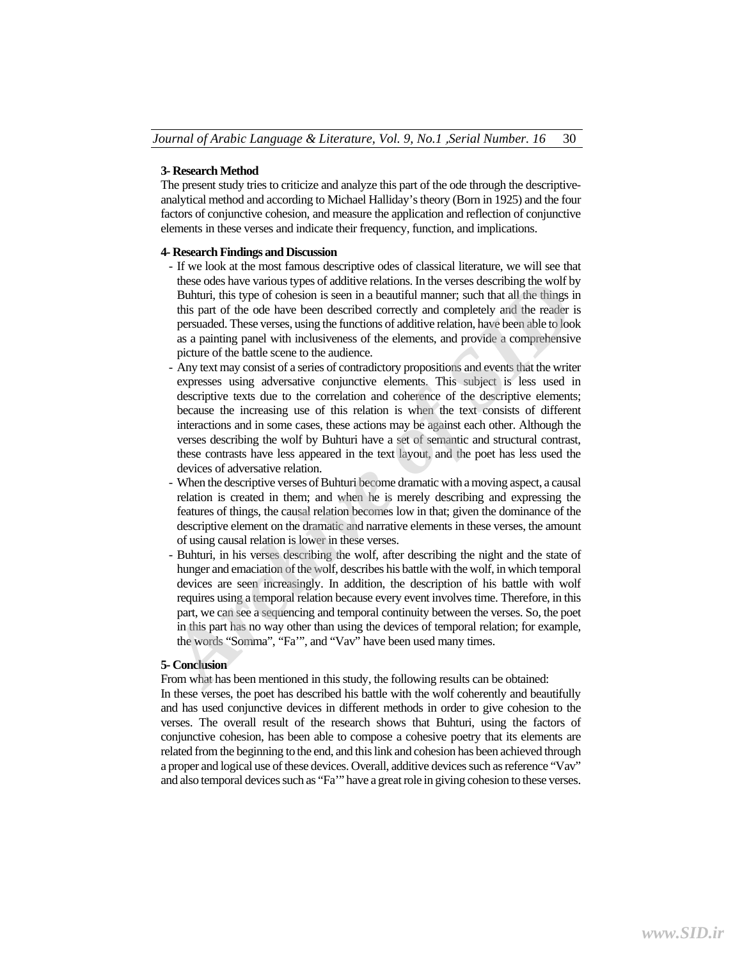### **3- Research Method**

The present study tries to criticize and analyze this part of the ode through the descriptiveanalytical method and according to Michael Halliday's theory (Born in 1925) and the four factors of conjunctive cohesion, and measure the application and reflection of conjunctive elements in these verses and indicate their frequency, function, and implications.

#### **4- Research Findings and Discussion**

- If we look at the most famous descriptive odes of classical literature, we will see that these odes have various types of additive relations. In the verses describing the wolf by Buhturi, this type of cohesion is seen in a beautiful manner; such that all the things in this part of the ode have been described correctly and completely and the reader is persuaded. These verses, using the functions of additive relation, have been able to look as a painting panel with inclusiveness of the elements, and provide a comprehensive picture of the battle scene to the audience.
- Any text may consist of a series of contradictory propositions and events that the writer expresses using adversative conjunctive elements. This subject is less used in descriptive texts due to the correlation and coherence of the descriptive elements; because the increasing use of this relation is when the text consists of different interactions and in some cases, these actions may be against each other. Although the verses describing the wolf by Buhturi have a set of semantic and structural contrast, these contrasts have less appeared in the text layout, and the poet has less used the devices of adversative relation. these odes have various types of additive relations. In the verses describing the wolf by Buhturi, this type of cohesion is seen in a beautiful manner; such that all the dinings in this part of the ode have been described
- When the descriptive verses of Buhturi become dramatic with a moving aspect, a causal relation is created in them; and when he is merely describing and expressing the features of things, the causal relation becomes low in that; given the dominance of the descriptive element on the dramatic and narrative elements in these verses, the amount of using causal relation is lower in these verses.
- Buhturi, in his verses describing the wolf, after describing the night and the state of hunger and emaciation of the wolf, describes his battle with the wolf, in which temporal devices are seen increasingly. In addition, the description of his battle with wolf requires using a temporal relation because every event involves time. Therefore, in this part, we can see a sequencing and temporal continuity between the verses. So, the poet in this part has no way other than using the devices of temporal relation; for example, the words "Somma", "Fa'", and "Vav" have been used many times.

#### **5- Conclusion**

From what has been mentioned in this study, the following results can be obtained:

In these verses, the poet has described his battle with the wolf coherently and beautifully and has used conjunctive devices in different methods in order to give cohesion to the verses. The overall result of the research shows that Buhturi, using the factors of conjunctive cohesion, has been able to compose a cohesive poetry that its elements are related from the beginning to the end, and this link and cohesion has been achieved through a proper and logical use of these devices. Overall, additive devices such as reference "Vav" and also temporal devices such as "Fa'" have a great role in giving cohesion to these verses.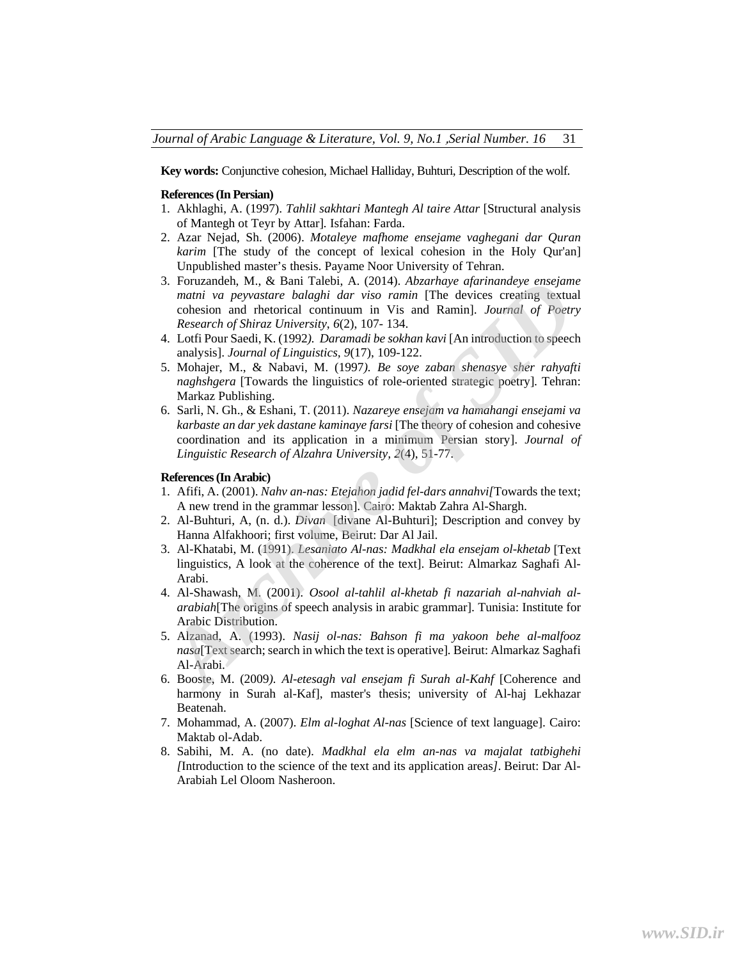**Key words:** Conjunctive cohesion, Michael Halliday, Buhturi, Description of the wolf.

#### **References (In Persian)**

- 1. Akhlaghi, A. (1997). *Tahlil sakhtari Mantegh Al taire Attar* [Structural analysis of Mantegh ot Teyr by Attar]*.* Isfahan: Farda.
- 2. Azar Nejad, Sh. (2006). *Motaleye mafhome ensejame vaghegani dar Quran karim* [The study of the concept of lexical cohesion in the Holy Qur'an] Unpublished master's thesis. Payame Noor University of Tehran.
- 3. Foruzandeh, M., & Bani Talebi, A. (2014). *Abzarhaye afarinandeye ensejame matni va peyvastare balaghi dar viso ramin* [The devices creating textual cohesion and rhetorical continuum in Vis and Ramin]. *Journal of Poetry Research of Shiraz University*, *6*(2), 107- 134.
- 4. Lotfi Pour Saedi, K. (1992*). Daramadi be sokhan kavi* [An introduction to speech analysis]. *Journal of Linguistics, 9*(17), 109-122.
- 5. Mohajer, M., & Nabavi, M. (1997*). Be soye zaban shenasye sher rahyafti naghshgera* [Towards the linguistics of role-oriented strategic poetry]*.* Tehran: Markaz Publishing.
- 6. Sarli, N. Gh., & Eshani, T. (2011). *Nazareye ensejam va hamahangi ensejami va karbaste an dar yek dastane kaminaye farsi* [The theory of cohesion and cohesive coordination and its application in a minimum Persian story]. *Journal of Linguistic Research of Alzahra University, 2*(4), 51-77. 3. Foruzandeh, M., & Bani Talebh, A. (2014). *Abzantage derinandeley ensegimmative a peryonstare bulgghi dar viso ramin* [The devices creating iextual cohesion and rhetorical continuum in Vis and Ramin]. *Journal of Poetry*

#### **References (In Arabic)**

- 1. Afifi, A. (2001). *Nahv an-nas: Etejahon jadid fel-dars annahvi[*Towards the text; A new trend in the grammar lesson]. Cairo: Maktab Zahra Al-Shargh.
- 2. Al-Buhturi, A, (n. d.). *Divan* [divane Al-Buhturi]; Description and convey by Hanna Alfakhoori; first volume, Beirut: Dar Al Jail.
- 3. Al-Khatabi, M. (1991). *Lesaniato Al-nas: Madkhal ela ensejam ol-khetab* [Text linguistics, A look at the coherence of the text]. Beirut: Almarkaz Saghafi Al-Arabi.
- 4. Al-Shawash, M. (2001). *Osool al-tahlil al-khetab fi nazariah al-nahviah alarabiah*[The origins of speech analysis in arabic grammar]. Tunisia: Institute for Arabic Distribution.
- 5. Alzanad, A. (1993). *Nasij ol-nas: Bahson fi ma yakoon behe al-malfooz nasa*[Text search; search in which the text is operative]*.* Beirut: Almarkaz Saghafi Al-Arabi.
- 6. Booste, M. (2009*). Al-etesagh val ensejam fi Surah al-Kahf* [Coherence and harmony in Surah al-Kaf], master's thesis; university of Al-haj Lekhazar Beatenah.
- 7. Mohammad, A. (2007). *Elm al-loghat Al-nas* [Science of text language]. Cairo: Maktab ol-Adab.
- 8. Sabihi, M. A. (no date). *Madkhal ela elm an-nas va majalat tatbighehi [*Introduction to the science of the text and its application areas*]*. Beirut: Dar Al-Arabiah Lel Oloom Nasheroon.